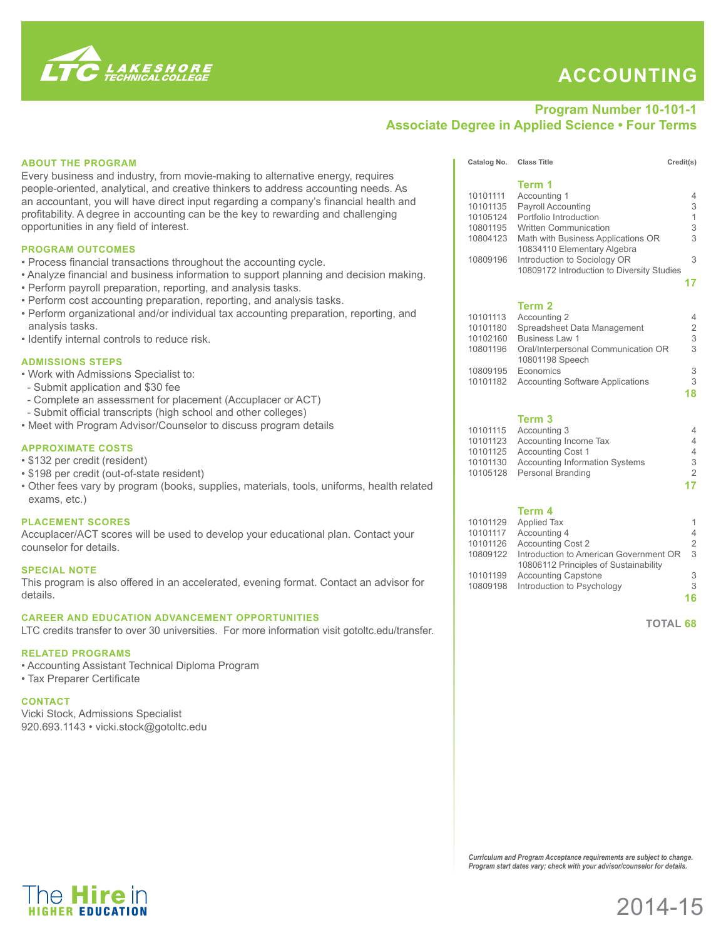

The **Hire** in

## **Accounting**

## **Program Number 10-101-1 Associate Degree in Applied Science • Four Terms**

| <b>ABOUT THE PROGRAM</b><br>Every business and industry, from movie-making to alternative energy, requires                         | Catalog No. Class Title                                                  | Term 1                                                                        | Credit(s)                 |
|------------------------------------------------------------------------------------------------------------------------------------|--------------------------------------------------------------------------|-------------------------------------------------------------------------------|---------------------------|
| people-oriented, analytical, and creative thinkers to address accounting needs. As                                                 | 10101111                                                                 | Accounting 1                                                                  | 4                         |
| an accountant, you will have direct input regarding a company's financial health and                                               | 10101135                                                                 | Payroll Accounting                                                            | 3                         |
| profitability. A degree in accounting can be the key to rewarding and challenging                                                  | 10105124                                                                 | Portfolio Introduction                                                        | 1                         |
| opportunities in any field of interest.                                                                                            | 10801195                                                                 | <b>Written Communication</b><br>10804123 Math with Business Applications OR   | 3<br>3                    |
| <b>PROGRAM OUTCOMES</b>                                                                                                            |                                                                          | 10834110 Elementary Algebra                                                   |                           |
| • Process financial transactions throughout the accounting cycle.                                                                  | 10809196                                                                 | Introduction to Sociology OR                                                  | 3                         |
| • Analyze financial and business information to support planning and decision making.                                              |                                                                          | 10809172 Introduction to Diversity Studies                                    | 17                        |
| • Perform payroll preparation, reporting, and analysis tasks.                                                                      |                                                                          |                                                                               |                           |
| • Perform cost accounting preparation, reporting, and analysis tasks.                                                              |                                                                          | Term 2                                                                        |                           |
| • Perform organizational and/or individual tax accounting preparation, reporting, and                                              | 10101113                                                                 | Accounting 2                                                                  | 4                         |
| analysis tasks.<br>• Identify internal controls to reduce risk.                                                                    | 10101180<br>10102160                                                     | Spreadsheet Data Management<br>Business Law 1                                 | $\overline{2}$<br>3       |
|                                                                                                                                    |                                                                          | 10801196 Oral/Interpersonal Communication OR                                  | 3                         |
| <b>ADMISSIONS STEPS</b>                                                                                                            |                                                                          | 10801198 Speech                                                               |                           |
| . Work with Admissions Specialist to:                                                                                              |                                                                          | 10809195 Economics<br>10101182 Accounting Software Applications               | 3<br>3                    |
| - Submit application and \$30 fee                                                                                                  |                                                                          |                                                                               | 18                        |
| - Complete an assessment for placement (Accuplacer or ACT)                                                                         |                                                                          |                                                                               |                           |
| - Submit official transcripts (high school and other colleges)<br>. Meet with Program Advisor/Counselor to discuss program details |                                                                          | Term 3                                                                        |                           |
|                                                                                                                                    |                                                                          | 10101115 Accounting 3                                                         | 4                         |
| <b>APPROXIMATE COSTS</b>                                                                                                           |                                                                          | 10101123 Accounting Income Tax<br>10101125 Accounting Cost 1                  | 4<br>$\overline{4}$       |
| • \$132 per credit (resident)                                                                                                      |                                                                          | 10101130 Accounting Information Systems                                       | $\ensuremath{\mathsf{3}}$ |
| • \$198 per credit (out-of-state resident)                                                                                         |                                                                          | 10105128 Personal Branding                                                    | $\overline{2}$            |
| . Other fees vary by program (books, supplies, materials, tools, uniforms, health related                                          |                                                                          |                                                                               | 17                        |
| exams, etc.)                                                                                                                       |                                                                          | Term 4                                                                        |                           |
| <b>PLACEMENT SCORES</b>                                                                                                            |                                                                          | 10101129 Applied Tax                                                          | 1                         |
| Accuplacer/ACT scores will be used to develop your educational plan. Contact your                                                  |                                                                          | 10101117 Accounting 4                                                         | 4                         |
| counselor for details.                                                                                                             |                                                                          | 10101126 Accounting Cost 2<br>10809122 Introduction to American Government OR | $\overline{2}$<br>- 3     |
| <b>SPECIAL NOTE</b>                                                                                                                |                                                                          | 10806112 Principles of Sustainability                                         |                           |
| This program is also offered in an accelerated, evening format. Contact an advisor for                                             | 10101199                                                                 | <b>Accounting Capstone</b><br>10809198 Introduction to Psychology             | 3<br>3                    |
| details.                                                                                                                           |                                                                          |                                                                               | 16                        |
| <b>CAREER AND EDUCATION ADVANCEMENT OPPORTUNITIES</b>                                                                              |                                                                          |                                                                               |                           |
| LTC credits transfer to over 30 universities. For more information visit gotoltc.edu/transfer.                                     |                                                                          | <b>TOTAL 68</b>                                                               |                           |
|                                                                                                                                    |                                                                          |                                                                               |                           |
| <b>RELATED PROGRAMS</b>                                                                                                            |                                                                          |                                                                               |                           |
| • Accounting Assistant Technical Diploma Program<br>• Tax Preparer Certificate                                                     |                                                                          |                                                                               |                           |
|                                                                                                                                    |                                                                          |                                                                               |                           |
| <b>CONTACT</b>                                                                                                                     |                                                                          |                                                                               |                           |
| Vicki Stock, Admissions Specialist                                                                                                 |                                                                          |                                                                               |                           |
| 920.693.1143 · vicki.stock@gotoltc.edu                                                                                             |                                                                          |                                                                               |                           |
|                                                                                                                                    |                                                                          |                                                                               |                           |
|                                                                                                                                    |                                                                          |                                                                               |                           |
|                                                                                                                                    |                                                                          |                                                                               |                           |
|                                                                                                                                    |                                                                          |                                                                               |                           |
|                                                                                                                                    |                                                                          |                                                                               |                           |
|                                                                                                                                    |                                                                          |                                                                               |                           |
|                                                                                                                                    |                                                                          |                                                                               |                           |
|                                                                                                                                    |                                                                          | Curriculum and Program Acceptance requirements are subject to change.         |                           |
|                                                                                                                                    | Program start dates vary; check with your advisor/counselor for details. |                                                                               |                           |